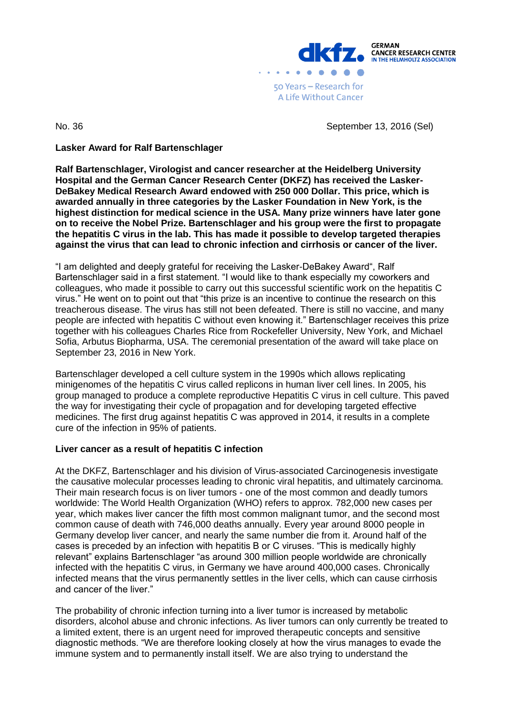

No. 36 September 13, 2016 (Sel)

# **Lasker Award for Ralf Bartenschlager**

**Ralf Bartenschlager, Virologist and cancer researcher at the Heidelberg University Hospital and the German Cancer Research Center (DKFZ) has received the Lasker-DeBakey Medical Research Award endowed with 250 000 Dollar. This price, which is awarded annually in three categories by the Lasker Foundation in New York, is the highest distinction for medical science in the USA. Many prize winners have later gone on to receive the Nobel Prize. Bartenschlager and his group were the first to propagate the hepatitis C virus in the lab. This has made it possible to develop targeted therapies against the virus that can lead to chronic infection and cirrhosis or cancer of the liver.** 

"I am delighted and deeply grateful for receiving the Lasker-DeBakey Award", Ralf Bartenschlager said in a first statement. "I would like to thank especially my coworkers and colleagues, who made it possible to carry out this successful scientific work on the hepatitis C virus." He went on to point out that "this prize is an incentive to continue the research on this treacherous disease. The virus has still not been defeated. There is still no vaccine, and many people are infected with hepatitis C without even knowing it." Bartenschlager receives this prize together with his colleagues Charles Rice from Rockefeller University, New York, and Michael Sofia, Arbutus Biopharma, USA. The ceremonial presentation of the award will take place on September 23, 2016 in New York.

Bartenschlager developed a cell culture system in the 1990s which allows replicating minigenomes of the hepatitis C virus called replicons in human liver cell lines. In 2005, his group managed to produce a complete reproductive Hepatitis C virus in cell culture. This paved the way for investigating their cycle of propagation and for developing targeted effective medicines. The first drug against hepatitis C was approved in 2014, it results in a complete cure of the infection in 95% of patients.

# **Liver cancer as a result of hepatitis C infection**

At the DKFZ, Bartenschlager and his division of Virus-associated Carcinogenesis investigate the causative molecular processes leading to chronic viral hepatitis, and ultimately carcinoma. Their main research focus is on liver tumors - one of the most common and deadly tumors worldwide: The World Health Organization (WHO) refers to approx. 782,000 new cases per year, which makes liver cancer the fifth most common malignant tumor, and the second most common cause of death with 746,000 deaths annually. Every year around 8000 people in Germany develop liver cancer, and nearly the same number die from it. Around half of the cases is preceded by an infection with hepatitis B or C viruses. "This is medically highly relevant" explains Bartenschlager "as around 300 million people worldwide are chronically infected with the hepatitis C virus, in Germany we have around 400,000 cases. Chronically infected means that the virus permanently settles in the liver cells, which can cause cirrhosis and cancer of the liver."

The probability of chronic infection turning into a liver tumor is increased by metabolic disorders, alcohol abuse and chronic infections. As liver tumors can only currently be treated to a limited extent, there is an urgent need for improved therapeutic concepts and sensitive diagnostic methods. "We are therefore looking closely at how the virus manages to evade the immune system and to permanently install itself. We are also trying to understand the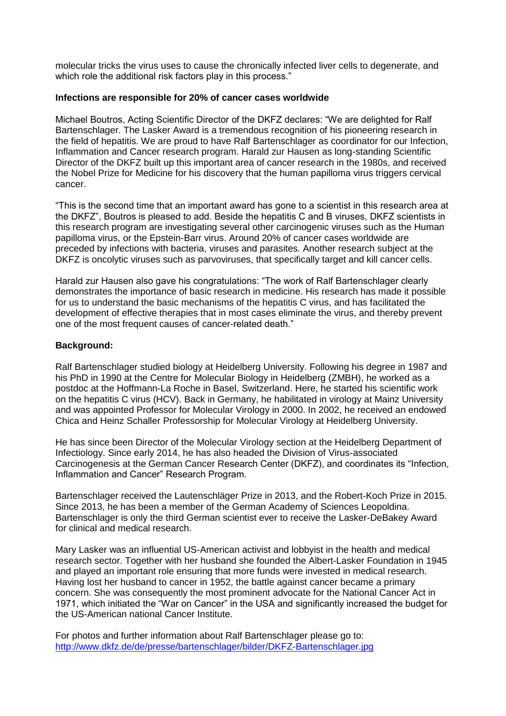molecular tricks the virus uses to cause the chronically infected liver cells to degenerate, and which role the additional risk factors play in this process."

### **Infections are responsible for 20% of cancer cases worldwide**

Michael Boutros, Acting Scientific Director of the DKFZ declares: "We are delighted for Ralf Bartenschlager. The Lasker Award is a tremendous recognition of his pioneering research in the field of hepatitis. We are proud to have Ralf Bartenschlager as coordinator for our Infection, Inflammation and Cancer research program. Harald zur Hausen as long-standing Scientific Director of the DKFZ built up this important area of cancer research in the 1980s, and received the Nobel Prize for Medicine for his discovery that the human papilloma virus triggers cervical cancer.

"This is the second time that an important award has gone to a scientist in this research area at the DKFZ", Boutros is pleased to add. Beside the hepatitis C and B viruses, DKFZ scientists in this research program are investigating several other carcinogenic viruses such as the Human papilloma virus, or the Epstein-Barr virus. Around 20% of cancer cases worldwide are preceded by infections with bacteria, viruses and parasites. Another research subject at the DKFZ is oncolytic viruses such as parvoviruses, that specifically target and kill cancer cells.

Harald zur Hausen also gave his congratulations: "The work of Ralf Bartenschlager clearly demonstrates the importance of basic research in medicine. His research has made it possible for us to understand the basic mechanisms of the hepatitis C virus, and has facilitated the development of effective therapies that in most cases eliminate the virus, and thereby prevent one of the most frequent causes of cancer-related death."

# **Background:**

Ralf Bartenschlager studied biology at Heidelberg University. Following his degree in 1987 and his PhD in 1990 at the Centre for Molecular Biology in Heidelberg (ZMBH), he worked as a postdoc at the Hoffmann-La Roche in Basel, Switzerland. Here, he started his scientific work on the hepatitis C virus (HCV). Back in Germany, he habilitated in virology at Mainz University and was appointed Professor for Molecular Virology in 2000. In 2002, he received an endowed Chica and Heinz Schaller Professorship for Molecular Virology at Heidelberg University.

He has since been Director of the Molecular Virology section at the Heidelberg Department of Infectiology. Since early 2014, he has also headed the Division of Virus-associated Carcinogenesis at the German Cancer Research Center (DKFZ), and coordinates its "Infection, Inflammation and Cancer" Research Program.

Bartenschlager received the Lautenschläger Prize in 2013, and the Robert-Koch Prize in 2015. Since 2013, he has been a member of the German Academy of Sciences Leopoldina. Bartenschlager is only the third German scientist ever to receive the Lasker-DeBakey Award for clinical and medical research.

Mary Lasker was an influential US-American activist and lobbyist in the health and medical research sector. Together with her husband she founded the Albert-Lasker Foundation in 1945 and played an important role ensuring that more funds were invested in medical research. Having lost her husband to cancer in 1952, the battle against cancer became a primary concern. She was consequently the most prominent advocate for the National Cancer Act in 1971, which initiated the "War on Cancer" in the USA and significantly increased the budget for the US-American national Cancer Institute.

For photos and further information about Ralf Bartenschlager please go to: <http://www.dkfz.de/de/presse/bartenschlager/bilder/DKFZ-Bartenschlager.jpg>